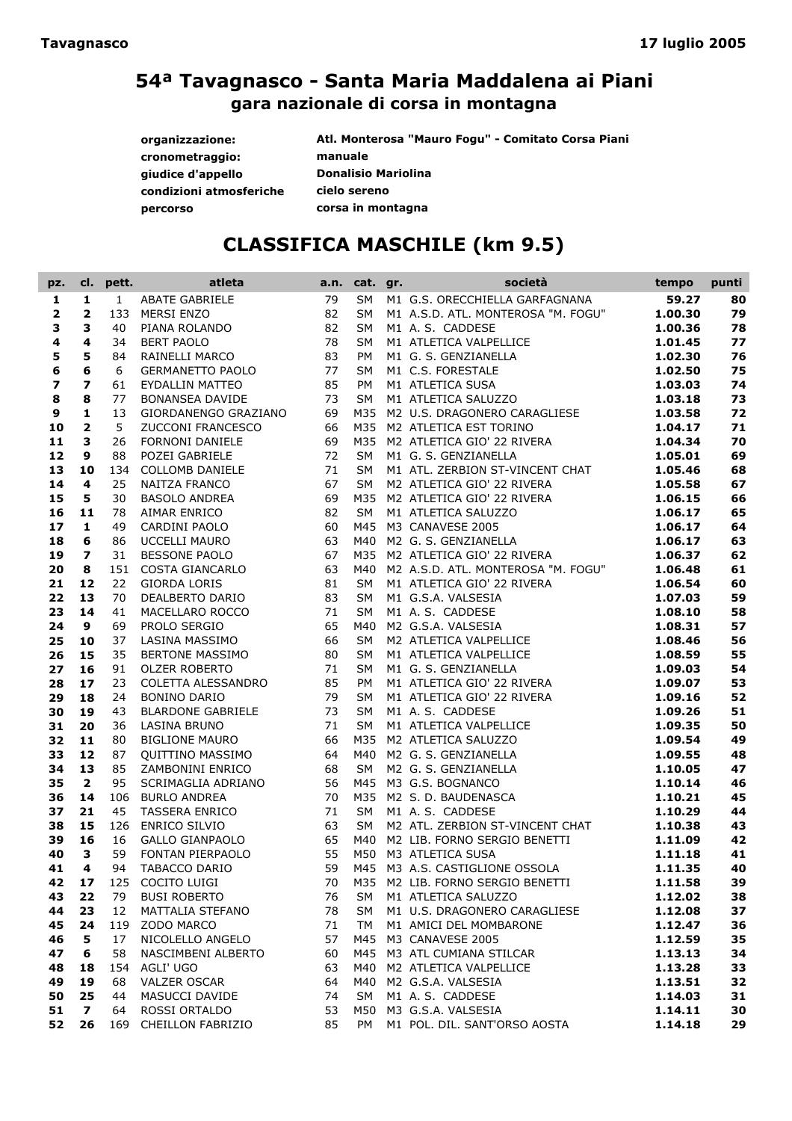| organizzazione:         | Atl. Monterosa "Mauro Fogu" - Comitato Corsa Piani |
|-------------------------|----------------------------------------------------|
| cronometraggio:         | manuale                                            |
| giudice d'appello       | <b>Donalisio Mariolina</b>                         |
| condizioni atmosferiche | cielo sereno                                       |
| percorso                | corsa in montagna                                  |

# CLASSIFICA MASCHILE (km 9.5)

| pz.                     | cl.                      | pett.        | atleta                                     | a.n.     | cat. gr.               | società                                          | tempo              | punti    |
|-------------------------|--------------------------|--------------|--------------------------------------------|----------|------------------------|--------------------------------------------------|--------------------|----------|
| 1                       | 1                        | $\mathbf{1}$ | <b>ABATE GABRIELE</b>                      | 79       | SM                     | M1 G.S. ORECCHIELLA GARFAGNANA                   | 59.27              | 80       |
| 2                       | $\overline{\mathbf{2}}$  | 133          | <b>MERSI ENZO</b>                          | 82       | <b>SM</b>              | M1 A.S.D. ATL. MONTEROSA "M. FOGU"               | 1.00.30            | 79       |
| 3                       | 3                        | 40           | PIANA ROLANDO                              | 82       | <b>SM</b>              | M1 A.S. CADDESE                                  | 1.00.36            | 78       |
| 4                       | 4                        | 34           | <b>BERT PAOLO</b>                          | 78       | <b>SM</b>              | M1 ATLETICA VALPELLICE                           | 1.01.45            | 77       |
| 5                       | 5                        | 84           | RAINELLI MARCO                             | 83       | PM                     | M1 G. S. GENZIANELLA                             | 1.02.30            | 76       |
| 6                       | 6                        | 6            | <b>GERMANETTO PAOLO</b>                    | 77       | <b>SM</b>              | M1 C.S. FORESTALE                                | 1.02.50            | 75       |
| $\overline{\mathbf{z}}$ | $\overline{\mathbf{z}}$  | 61           | EYDALLIN MATTEO                            | 85       | PM                     | M1 ATLETICA SUSA                                 | 1.03.03            | 74       |
| 8                       | 8                        | 77           | <b>BONANSEA DAVIDE</b>                     | 73       | <b>SM</b>              | M1 ATLETICA SALUZZO                              | 1.03.18            | 73       |
| 9                       | 1                        | 13           | GIORDANENGO GRAZIANO                       | 69       |                        | M35 M2 U.S. DRAGONERO CARAGLIESE                 | 1.03.58            | 72       |
| 10                      | $\overline{\mathbf{2}}$  | 5            | ZUCCONI FRANCESCO                          | 66       |                        | M35 M2 ATLETICA EST TORINO                       | 1.04.17            | 71       |
| 11                      | 3                        | 26           | <b>FORNONI DANIELE</b>                     | 69       |                        | M35 M2 ATLETICA GIO' 22 RIVERA                   | 1.04.34            | 70       |
| 12                      | 9                        | 88           | POZEI GABRIELE                             | 72       | <b>SM</b>              | M1 G. S. GENZIANELLA                             | 1.05.01            | 69       |
| 13                      | 10                       | 134          | COLLOMB DANIELE                            | 71       | <b>SM</b>              | M1 ATL. ZERBION ST-VINCENT CHAT                  | 1.05.46            | 68       |
| 14                      | 4                        | 25           | <b>NAITZA FRANCO</b>                       | 67       | <b>SM</b>              | M2 ATLETICA GIO' 22 RIVERA                       | 1.05.58            | 67       |
| 15                      | 5                        | 30           | <b>BASOLO ANDREA</b>                       | 69       |                        | M35 M2 ATLETICA GIO' 22 RIVERA                   | 1.06.15            | 66       |
| 16                      | 11                       | 78           | AIMAR ENRICO                               | 82       | <b>SM</b>              | M1 ATLETICA SALUZZO                              | 1.06.17            | 65       |
| 17                      | $\mathbf{1}$             | 49           | CARDINI PAOLO                              | 60       |                        | M45 M3 CANAVESE 2005                             | 1.06.17            | 64       |
| 18                      | 6                        | 86           | <b>UCCELLI MAURO</b>                       | 63       |                        | M40 M2 G. S. GENZIANELLA                         | 1.06.17            | 63       |
| 19                      | $\overline{\phantom{a}}$ | 31           | <b>BESSONE PAOLO</b>                       | 67       |                        | M35 M2 ATLETICA GIO' 22 RIVERA                   | 1.06.37            | 62       |
| 20                      | 8                        | 151          | COSTA GIANCARLO                            | 63       |                        | M40 M2 A.S.D. ATL. MONTEROSA "M. FOGU"           | 1.06.48            | 61       |
| 21                      | 12                       | 22           | <b>GIORDA LORIS</b>                        | 81       | <b>SM</b>              | M1 ATLETICA GIO' 22 RIVERA                       | 1.06.54            | 60       |
| 22                      | 13                       | 70           | <b>DEALBERTO DARIO</b>                     | 83       | <b>SM</b>              | M1 G.S.A. VALSESIA                               | 1.07.03            | 59       |
| 23                      | 14                       | 41           | MACELLARO ROCCO                            | 71       | <b>SM</b>              | M1 A.S. CADDESE                                  | 1.08.10            | 58       |
| 24                      | 9                        | 69           | PROLO SERGIO                               | 65       | M40                    | M2 G.S.A. VALSESIA                               | 1.08.31            | 57<br>56 |
| 25                      | 10                       | 37<br>35     | LASINA MASSIMO<br>BERTONE MASSIMO          | 66<br>80 | <b>SM</b><br><b>SM</b> | M2 ATLETICA VALPELLICE<br>M1 ATLETICA VALPELLICE | 1.08.46<br>1.08.59 | 55       |
| 26<br>27                | 15<br>16                 | 91           |                                            | 71       | <b>SM</b>              | M1 G. S. GENZIANELLA                             | 1.09.03            | 54       |
| 28                      | 17                       | 23           | <b>OLZER ROBERTO</b><br>COLETTA ALESSANDRO | 85       | <b>PM</b>              | M1 ATLETICA GIO' 22 RIVERA                       | 1.09.07            | 53       |
| 29                      | 18                       | 24           | <b>BONINO DARIO</b>                        | 79       | <b>SM</b>              |                                                  | 1.09.16            | 52       |
| 30                      | 19                       | 43           | <b>BLARDONE GABRIELE</b>                   | 73       | <b>SM</b>              | M1 ATLETICA GIO' 22 RIVERA<br>M1 A.S. CADDESE    | 1.09.26            | 51       |
| 31                      | 20                       | 36           | <b>LASINA BRUNO</b>                        | 71       | <b>SM</b>              | M1 ATLETICA VALPELLICE                           | 1.09.35            | 50       |
| 32                      | 11                       | 80           | <b>BIGLIONE MAURO</b>                      | 66       |                        | M35 M2 ATLETICA SALUZZO                          | 1.09.54            | 49       |
| 33                      | 12                       | 87           | <b>QUITTINO MASSIMO</b>                    | 64       |                        | M40 M2 G. S. GENZIANELLA                         | 1.09.55            | 48       |
| 34                      | 13                       | 85           | ZAMBONINI ENRICO                           | 68       | <b>SM</b>              | M2 G. S. GENZIANELLA                             | 1.10.05            | 47       |
| 35                      | $\overline{\mathbf{2}}$  | 95           | SCRIMAGLIA ADRIANO                         | 56       |                        | M45 M3 G.S. BOGNANCO                             | 1.10.14            | 46       |
| 36                      | 14                       | 106          | <b>BURLO ANDREA</b>                        | 70       |                        | M35 M2 S.D. BAUDENASCA                           | 1.10.21            | 45       |
| 37                      | 21                       | 45           | <b>TASSERA ENRICO</b>                      | 71       | <b>SM</b>              | M1 A.S. CADDESE                                  | 1.10.29            | 44       |
| 38                      | 15                       | 126          | <b>ENRICO SILVIO</b>                       | 63       | <b>SM</b>              | M2 ATL. ZERBION ST-VINCENT CHAT                  | 1.10.38            | 43       |
| 39                      | 16                       | 16           | <b>GALLO GIANPAOLO</b>                     | 65       |                        | M40 M2 LIB. FORNO SERGIO BENETTI                 | 1.11.09            | 42       |
| 40                      | 3                        | 59           | FONTAN PIERPAOLO                           | 55       |                        | M50 M3 ATLETICA SUSA                             | 1.11.18            | 41       |
| 41                      | 4                        |              | 94 TABACCO DARIO                           |          |                        | 59 M45 M3 A.S. CASTIGLIONE OSSOLA 1.11.35        |                    | 40       |
| 42                      | 17                       |              | 125 COCITO LUIGI                           | 70       |                        | M35 M2 LIB. FORNO SERGIO BENETTI                 | 1.11.58            | 39       |
| 43                      | 22                       | 79           | <b>BUSI ROBERTO</b>                        | 76       | <b>SM</b>              | M1 ATLETICA SALUZZO                              | 1.12.02            | 38       |
| 44                      | 23                       | 12           | MATTALIA STEFANO                           | 78       | <b>SM</b>              | M1 U.S. DRAGONERO CARAGLIESE                     | 1.12.08            | 37       |
| 45                      | 24                       | 119          | ZODO MARCO                                 | 71       | TM                     | M1 AMICI DEL MOMBARONE                           | 1.12.47            | 36       |
| 46                      | 5                        | 17           | NICOLELLO ANGELO                           | 57       |                        | M45 M3 CANAVESE 2005                             | 1.12.59            | 35       |
| 47                      | 6                        | 58           | NASCIMBENI ALBERTO                         | 60       |                        | M45 M3 ATL CUMIANA STILCAR                       | 1.13.13            | 34       |
| 48                      | 18                       | 154          | AGLI' UGO                                  | 63       |                        | M40 M2 ATLETICA VALPELLICE                       | 1.13.28            | 33       |
| 49                      | 19                       | 68           | <b>VALZER OSCAR</b>                        | 64       |                        | M40 M2 G.S.A. VALSESIA                           | 1.13.51            | 32       |
| 50                      | 25                       | 44           | MASUCCI DAVIDE                             | 74       | SM                     | M1 A.S. CADDESE                                  | 1.14.03            | 31       |
| 51                      | $\overline{ }$           | 64           | <b>ROSSI ORTALDO</b>                       | 53       |                        | M50 M3 G.S.A. VALSESIA                           | 1.14.11            | 30       |
| 52                      | 26                       |              | 169 CHEILLON FABRIZIO                      | 85       | PM                     | M1 POL. DIL. SANT'ORSO AOSTA                     | 1.14.18            | 29       |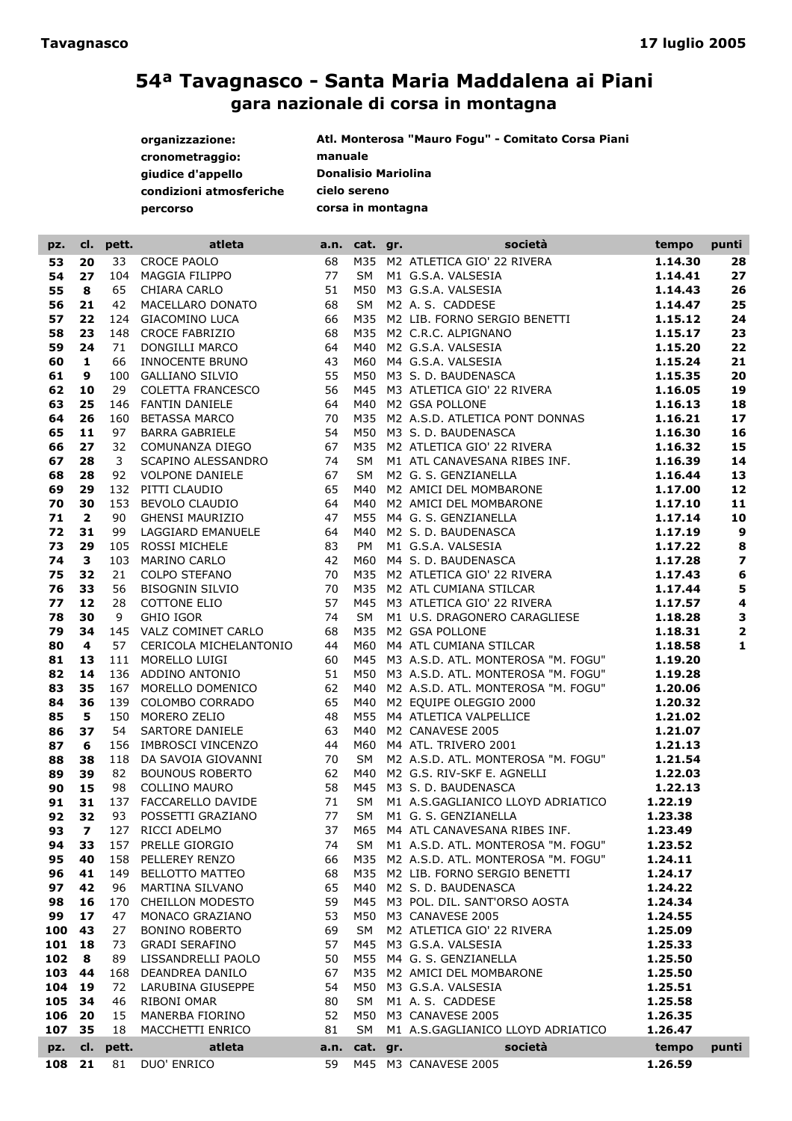| organizzazione:         | Atl. Monterosa "Mauro Fogu" - Comitato Corsa Piani |
|-------------------------|----------------------------------------------------|
| cronometraggio:         | manuale                                            |
| giudice d'appello       | <b>Donalisio Mariolina</b>                         |
| condizioni atmosferiche | cielo sereno                                       |
| percorso                | corsa in montagna                                  |

| pz.      | cl.                      | pett. | atleta                  |      | a.n. cat. gr. | società                                                                                                                                                                                                                                       | tempo              | punti                   |
|----------|--------------------------|-------|-------------------------|------|---------------|-----------------------------------------------------------------------------------------------------------------------------------------------------------------------------------------------------------------------------------------------|--------------------|-------------------------|
| 53       | 20                       | 33    | <b>CROCE PAOLO</b>      | 68   |               | M35 M2 ATLETICA GIO' 22 RIVERA<br>SM M1 G.S.A. VALSESIA<br>M50 M3 G.S.A. VALSESIA<br>SM M2 A.S. CADDESE                                                                                                                                       | 1.14.30            | 28                      |
| 54       | 27                       | 104   | <b>MAGGIA FILIPPO</b>   | 77   |               |                                                                                                                                                                                                                                               | 1.14.41            | 27                      |
| 55       | 8                        | 65    | CHIARA CARLO            | 51   |               |                                                                                                                                                                                                                                               | 1.14.43            | 26                      |
| 56       | 21                       | 42    | MACELLARO DONATO        | 68   |               |                                                                                                                                                                                                                                               | 1.14.47            | 25                      |
| 57       | 22                       | 124   | <b>GIACOMINO LUCA</b>   | 66   |               | M35 M2 LIB. FORNO SERGIO BENETTI                                                                                                                                                                                                              | 1.15.12            | 24                      |
| 58       | 23                       |       | 148 CROCE FABRIZIO      | 68   |               |                                                                                                                                                                                                                                               | 1.15.17            | 23                      |
| 59       | 24                       | 71    | DONGILLI MARCO          | 64   |               |                                                                                                                                                                                                                                               | 1.15.20            | 22                      |
| 60       | $\mathbf{1}$             | 66    | INNOCENTE BRUNO         | 43   |               |                                                                                                                                                                                                                                               | 1.15.24            | 21                      |
| 61       | 9                        |       | 100 GALLIANO SILVIO     | 55   |               |                                                                                                                                                                                                                                               |                    | 20                      |
|          | 10                       | 29    |                         | 56   |               |                                                                                                                                                                                                                                               | 1.15.35<br>1.16.05 | 19                      |
| 62<br>63 | 25                       |       | COLETTA FRANCESCO       |      |               | M35 M2 C.R.C. ALPIGNANO<br>M40 M2 G.S.A. VALSESIA<br>M60 M4 G.S.A. VALSESIA<br>M50 M3 S. D. BAUDENASCA<br>M45 M3 ATLETICA GIO' 22 RIVERA<br>M40 M2 GSA POLLONE<br>M35 M2 A.S.D. ATLETICA PONT DONNAS<br>M50 M3 S. D. BALIDENASCA              |                    |                         |
|          |                          |       | 146 FANTIN DANIELE      | 64   |               |                                                                                                                                                                                                                                               | 1.16.13            | 18                      |
| 64       | 26                       | 160   | <b>BETASSA MARCO</b>    | 70   |               |                                                                                                                                                                                                                                               | 1.16.21            | 17                      |
| 65       | 11                       | 97    | <b>BARRA GABRIELE</b>   | 54   |               | M50 M3 S.D. BAUDENASCA                                                                                                                                                                                                                        | 1.16.30            | 16                      |
| 66       | 27                       | 32    | COMUNANZA DIEGO         | 67   |               | M35 M2 ATLETICA GIO' 22 RIVERA                                                                                                                                                                                                                | 1.16.32            | 15                      |
| 67       | 28                       | 3     | SCAPINO ALESSANDRO      | 74   |               | M35 M2 ATLETICA GIO' 22 RIVERA<br>SM M1 ATL CANAVESANA RIBES INF.                                                                                                                                                                             | 1.16.39            | 14                      |
| 68       | 28                       | 92    | <b>VOLPONE DANIELE</b>  | 67   |               |                                                                                                                                                                                                                                               | 1.16.44            | 13                      |
| 69       | 29                       |       | 132 PITTI CLAUDIO       | 65   |               | M40 M2 AMICI DEL MOMBARONE                                                                                                                                                                                                                    | 1.17.00            | 12                      |
| 70       | 30                       | 153   | BEVOLO CLAUDIO          | 64   |               |                                                                                                                                                                                                                                               | 1.17.10            | 11                      |
| 71       | $\overline{\mathbf{2}}$  | 90    | <b>GHENSI MAURIZIO</b>  | 47   |               |                                                                                                                                                                                                                                               | 1.17.14            | 10                      |
| 72       | 31                       | 99    | LAGGIARD EMANUELE       | 64   |               |                                                                                                                                                                                                                                               | 1.17.19            | $\boldsymbol{9}$        |
| 73       | 29                       | 105   | <b>ROSSI MICHELE</b>    | 83   |               |                                                                                                                                                                                                                                               | 1.17.22            | 8                       |
| 74       | 3                        | 103   | MARINO CARLO            | 42   |               |                                                                                                                                                                                                                                               | 1.17.28            | $\overline{\mathbf{z}}$ |
| 75       | 32                       | 21    | <b>COLPO STEFANO</b>    | 70   |               |                                                                                                                                                                                                                                               | 1.17.43            | $\bf 6$                 |
| 76       | 33                       | 56    | BISOGNIN SILVIO         | 70   |               |                                                                                                                                                                                                                                               | 1.17.44            | 5                       |
| 77       | 12                       | 28    | <b>COTTONE ELIO</b>     | 57   |               | M40 M2 AMICI DEL MOMBARONE<br>M40 M2 AMICI DEL MOMBARONE<br>M55 M4 G. S. GENZIANELLA<br>M40 M2 S. D. BAUDENASCA<br>PM M1 G.S.A. VALSESIA<br>M60 M4 S. D. BAUDENASCA<br>M35 M2 ATLETICA GIO' 22 RIVERA<br>M35 M2 ATL CUMIANA STILCAR<br>M45 M3 | 1.17.57            | 4                       |
| 78       | 30                       | 9     | <b>GHIO IGOR</b>        | 74   | SM            |                                                                                                                                                                                                                                               | 1.18.28            | 3                       |
| 79       | 34                       |       | 145 VALZ COMINET CARLO  | 68   |               | M35 M2 GSA POLLONE                                                                                                                                                                                                                            | 1.18.31            | $\overline{\mathbf{2}}$ |
| 80       | $\overline{4}$           | 57    | CERICOLA MICHELANTONIO  | 44   |               | M3 ATLETICA GIO' 22 KIVERA<br>M1 U.S. DRAGONERO CARAGLIESE<br>M2 GSA POLLONE<br>NALLO CUMIANA STILCAR<br>M60 M4 ATL CUMIANA STILCAR                                                                                                           | 1.18.58            | $\mathbf{1}$            |
| 81       | 13                       |       | 111 MORELLO LUIGI       | 60   |               | M45 M3 A.S.D. ATL. MONTEROSA "M. FOGU"                                                                                                                                                                                                        | 1.19.20            |                         |
| 82       | 14                       |       | 136 ADDINO ANTONIO      | 51   |               | M50 M3 A.S.D. ATL. MONTEROSA "M. FOGU"<br>M50 M3 A.S.D.<br>M40 M2 A.S.D. ATL. MONTEROSA TM. 1 OOC.<br>M40 M2 EQUIPE OLEGGIO 2000<br>M55 M4 ATLETICA VALPELLICE                                                                                | 1.19.28            |                         |
| 83       | 35                       | 167   | MORELLO DOMENICO        | 62   |               |                                                                                                                                                                                                                                               | 1.20.06            |                         |
| 84       | 36                       |       | 139 COLOMBO CORRADO     | 65   |               |                                                                                                                                                                                                                                               | 1.20.32            |                         |
| 85       | 5                        |       | 150 MORERO ZELIO        | 48   |               |                                                                                                                                                                                                                                               | 1.21.02            |                         |
| 86       | 37                       | 54    | SARTORE DANIELE         | 63   |               |                                                                                                                                                                                                                                               | 1.21.07            |                         |
| 87       | 6                        |       | 156 IMBROSCI VINCENZO   | 44   |               |                                                                                                                                                                                                                                               | 1.21.13            |                         |
| 88       | 38                       |       | 118 DA SAVOIA GIOVANNI  | 70   | SM            | M2 A.S.D. ATL. MONTEROSA "M. FOGU"                                                                                                                                                                                                            | 1.21.54            |                         |
| 89       | 39                       | 82    | <b>BOUNOUS ROBERTO</b>  | 62   |               | M40 M2 G.S. RIV-SKF E. AGNELLI                                                                                                                                                                                                                | 1.22.03            |                         |
| 90       | 15                       | 98    | <b>COLLINO MAURO</b>    | 58   |               | M45 M3 S.D. BAUDENASCA                                                                                                                                                                                                                        | 1.22.13            |                         |
| 91       | 31                       | 137   | FACCARELLO DAVIDE       | 71   | SM            | M1 A.S.GAGLIANICO LLOYD ADRIATICO                                                                                                                                                                                                             | 1.22.19            |                         |
| 92       | 32                       | 93    | POSSETTI GRAZIANO       | 77   |               |                                                                                                                                                                                                                                               | 1.23.38            |                         |
| 93       | $\overline{\phantom{a}}$ | 127   | RICCI ADELMO            | 37   |               | MESSING OF A SUBANELLA<br>MESSING ATLICANAVESANA RIBESINE.<br>SML MELA C.D. ATLICANA RIBESINE.                                                                                                                                                | 1.23.49            |                         |
| 94       | 33                       |       | 157 PRELLE GIORGIO      | 74   | SM            | M1 A.S.D. ATL. MONTEROSA "M. FOGU"                                                                                                                                                                                                            | 1.23.52            |                         |
| 95       | 40                       | 158   | PELLEREY RENZO          | 66   | M35           | M2 A.S.D. ATL. MONTEROSA "M. FOGU"                                                                                                                                                                                                            | 1.24.11            |                         |
| 96       | 41                       | 149   | <b>BELLOTTO MATTEO</b>  | 68   |               | M35 M2 LIB. FORNO SERGIO BENETTI                                                                                                                                                                                                              | 1.24.17            |                         |
| 97       | 42                       | 96    | MARTINA SILVANO         | 65   | M40           | M2 S.D. BAUDENASCA                                                                                                                                                                                                                            | 1.24.22            |                         |
| 98       | 16                       | 170   | <b>CHEILLON MODESTO</b> | 59   |               | M45 M3 POL. DIL. SANT'ORSO AOSTA                                                                                                                                                                                                              | 1.24.34            |                         |
| 99       | 17                       | 47    | MONACO GRAZIANO         | 53   |               | M50 M3 CANAVESE 2005                                                                                                                                                                                                                          | 1.24.55            |                         |
| 100      | 43                       | 27    | <b>BONINO ROBERTO</b>   | 69   | <b>SM</b>     | M2 ATLETICA GIO' 22 RIVERA                                                                                                                                                                                                                    | 1.25.09            |                         |
| 101      | 18                       | 73    | <b>GRADI SERAFINO</b>   | 57   | M45           | M3 G.S.A. VALSESIA                                                                                                                                                                                                                            | 1.25.33            |                         |
| 102      | 8                        | 89    | LISSANDRELLI PAOLO      | 50   |               | M55 M4 G. S. GENZIANELLA                                                                                                                                                                                                                      | 1.25.50            |                         |
| 103      | 44                       | 168   | DEANDREA DANILO         | 67   |               | M35 M2 AMICI DEL MOMBARONE                                                                                                                                                                                                                    | 1.25.50            |                         |
| 104      | 19                       | 72    | LARUBINA GIUSEPPE       | 54   | M50           | M3 G.S.A. VALSESIA                                                                                                                                                                                                                            | 1.25.51            |                         |
| 105      | 34                       | 46    | RIBONI OMAR             | 80   | <b>SM</b>     | M1 A.S. CADDESE                                                                                                                                                                                                                               | 1.25.58            |                         |
| 106      | 20                       | 15    | MANERBA FIORINO         | 52   | M50           | M3 CANAVESE 2005                                                                                                                                                                                                                              | 1.26.35            |                         |
| 107      | 35                       | 18    | MACCHETTI ENRICO        | 81   | <b>SM</b>     | M1 A.S.GAGLIANICO LLOYD ADRIATICO                                                                                                                                                                                                             | 1.26.47            |                         |
| pz.      | cl.                      | pett. | atleta                  | a.n. | cat. gr.      | società                                                                                                                                                                                                                                       | tempo              | punti                   |
| 108      | 21                       | 81    | DUO' ENRICO             | 59   |               | M45 M3 CANAVESE 2005                                                                                                                                                                                                                          | 1.26.59            |                         |
|          |                          |       |                         |      |               |                                                                                                                                                                                                                                               |                    |                         |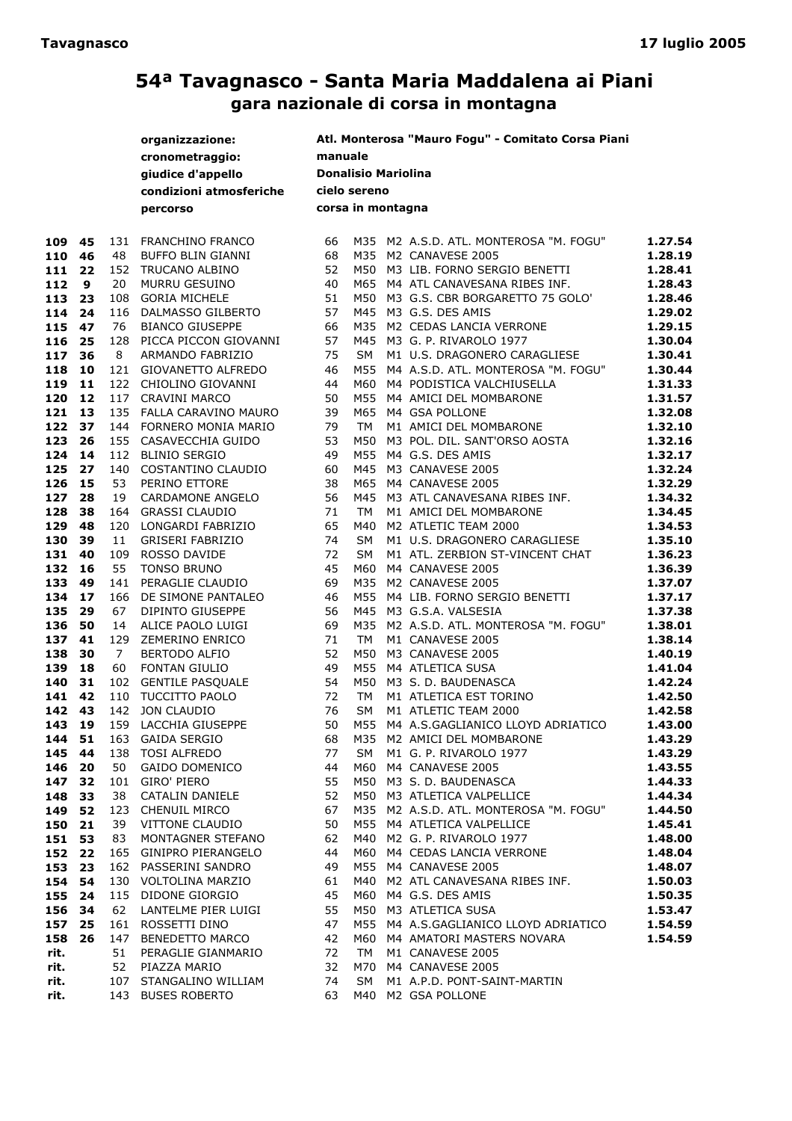|        |    |                | organizzazione:          |         |                            | Atl. Monterosa "Mauro Fogu" - Comitato Corsa Piani |         |
|--------|----|----------------|--------------------------|---------|----------------------------|----------------------------------------------------|---------|
|        |    |                | cronometraggio:          | manuale |                            |                                                    |         |
|        |    |                | giudice d'appello        |         | <b>Donalisio Mariolina</b> |                                                    |         |
|        |    |                | condizioni atmosferiche  |         | cielo sereno               |                                                    |         |
|        |    |                | percorso                 |         | corsa in montagna          |                                                    |         |
|        |    |                |                          |         |                            |                                                    |         |
| 109    | 45 |                | 131 FRANCHINO FRANCO     | 66      |                            | M35 M2 A.S.D. ATL. MONTEROSA "M. FOGU"             | 1.27.54 |
| 110    | 46 | 48             | BUFFO BLIN GIANNI        | 68      | M35                        | M2 CANAVESE 2005                                   | 1.28.19 |
| 111    | 22 |                | 152 TRUCANO ALBINO       | 52      | M50                        | M3 LIB. FORNO SERGIO BENETTI                       | 1.28.41 |
| 112    | 9  | 20             | <b>MURRU GESUINO</b>     | 40      | M65                        | M4 ATL CANAVESANA RIBES INF.                       | 1.28.43 |
| 113    | 23 | 108            | <b>GORIA MICHELE</b>     | 51      | M50                        | M3 G.S. CBR BORGARETTO 75 GOLO'                    | 1.28.46 |
| 114    | 24 | 116            | DALMASSO GILBERTO        | 57      | M45                        | M3 G.S. DES AMIS                                   | 1.29.02 |
| 115    | 47 | 76             | <b>BIANCO GIUSEPPE</b>   | 66      | M35                        | M2 CEDAS LANCIA VERRONE                            | 1.29.15 |
| 116    | 25 | 128            | PICCA PICCON GIOVANNI    | 57      | M45                        | M3 G. P. RIVAROLO 1977                             | 1.30.04 |
| 117    | 36 | 8              | ARMANDO FABRIZIO         | 75      | SM                         | M1 U.S. DRAGONERO CARAGLIESE                       | 1.30.41 |
| 118    | 10 | 121            | GIOVANETTO ALFREDO       | 46      | M55                        | M4 A.S.D. ATL. MONTEROSA "M. FOGU"                 | 1.30.44 |
| 119    | 11 | 122            | CHIOLINO GIOVANNI        | 44      | M60                        | M4 PODISTICA VALCHIUSELLA                          | 1.31.33 |
| 120    | 12 | 117            | <b>CRAVINI MARCO</b>     | 50      | M55                        | M4 AMICI DEL MOMBARONE                             | 1.31.57 |
| 121    | 13 |                | 135 FALLA CARAVINO MAURO | 39      | M65                        | M4 GSA POLLONE                                     | 1.32.08 |
| 122    | 37 | 144            | FORNERO MONIA MARIO      | 79      | <b>TM</b>                  | M1 AMICI DEL MOMBARONE                             | 1.32.10 |
| 123    | 26 | 155            | CASAVECCHIA GUIDO        | 53      | M50                        | M3 POL. DIL. SANT'ORSO AOSTA                       | 1.32.16 |
| 124    | 14 | 112            | <b>BLINIO SERGIO</b>     | 49      | M55                        | M4 G.S. DES AMIS                                   | 1.32.17 |
| 125    | 27 | 140            | COSTANTINO CLAUDIO       | 60      | M45                        | M3 CANAVESE 2005                                   | 1.32.24 |
| 126    | 15 | 53             | PERINO ETTORE            | 38      | M65                        | M4 CANAVESE 2005                                   | 1.32.29 |
| 127    | 28 | 19             | <b>CARDAMONE ANGELO</b>  | 56      | M45                        | M3 ATL CANAVESANA RIBES INF.                       | 1.34.32 |
| 128    | 38 | 164            | <b>GRASSI CLAUDIO</b>    | 71      | <b>TM</b>                  | M1 AMICI DEL MOMBARONE                             | 1.34.45 |
| 129    | 48 | 120            | LONGARDI FABRIZIO        | 65      | M40                        | M2 ATLETIC TEAM 2000                               | 1.34.53 |
| 130    | 39 | 11             | <b>GRISERI FABRIZIO</b>  | 74      | <b>SM</b>                  | M1 U.S. DRAGONERO CARAGLIESE                       | 1.35.10 |
| 131    | 40 | 109            | ROSSO DAVIDE             | 72      | SM                         | M1 ATL. ZERBION ST-VINCENT CHAT                    | 1.36.23 |
| 132    | 16 | 55             | <b>TONSO BRUNO</b>       | 45      | M60                        | M4 CANAVESE 2005                                   | 1.36.39 |
| 133    | 49 | 141            | PERAGLIE CLAUDIO         | 69      | M35                        | M2 CANAVESE 2005                                   | 1.37.07 |
| 134    | 17 | 166            | DE SIMONE PANTALEO       | 46      | M55                        | M4 LIB. FORNO SERGIO BENETTI                       | 1.37.17 |
| 135    | 29 | 67             | DIPINTO GIUSEPPE         | 56      | M45                        | M3 G.S.A. VALSESIA                                 | 1.37.38 |
| 136    | 50 | 14             | ALICE PAOLO LUIGI        | 69      | M35                        | M2 A.S.D. ATL. MONTEROSA "M. FOGU"                 | 1.38.01 |
| 137    | 41 | 129            | <b>ZEMERINO ENRICO</b>   | 71      | <b>TM</b>                  | M1 CANAVESE 2005                                   | 1.38.14 |
| 138    | 30 | $\overline{7}$ | BERTODO ALFIO            | 52      | M50                        | M3 CANAVESE 2005                                   | 1.40.19 |
| 139    | 18 | 60             | <b>FONTAN GIULIO</b>     | 49      | M55                        | M4 ATLETICA SUSA                                   | 1.41.04 |
| 140    | 31 | 102            | <b>GENTILE PASQUALE</b>  | 54      | M50                        | M3 S.D. BAUDENASCA                                 | 1.42.24 |
| 141    | 42 | 110            | TUCCITTO PAOLO           | 72      | TM                         | M1 ATLETICA EST TORINO                             | 1.42.50 |
| 142    | 43 | 142            | JON CLAUDIO              | 76      | <b>SM</b>                  | M1 ATLETIC TEAM 2000                               | 1.42.58 |
| 143    | 19 | 159            | LACCHIA GIUSEPPE         | 50      | M55                        | M4 A.S.GAGLIANICO LLOYD ADRIATICO                  | 1.43.00 |
| 144 51 |    |                | 163 GAIDA SERGIO         | 68      |                            | M35 M2 AMICI DEL MOMBARONE                         | 1.43.29 |
| 145    | 44 |                | 138 TOSI ALFREDO         | 77      | SM                         | M1 G. P. RIVAROLO 1977                             | 1.43.29 |
| 146    | 20 | 50             | GAIDO DOMENICO           | 44      | M60                        | M4 CANAVESE 2005                                   | 1.43.55 |
| 147    | 32 |                | 101 GIRO' PIERO          | 55      | M50                        | M3 S.D. BAUDENASCA                                 | 1.44.33 |
| 148    | 33 | 38             | CATALIN DANIELE          | 52      | M50                        | M3 ATLETICA VALPELLICE                             | 1.44.34 |
| 149    | 52 |                | 123 CHENUIL MIRCO        | 67      | M35                        | M2 A.S.D. ATL. MONTEROSA "M. FOGU"                 | 1.44.50 |
| 150    | 21 | 39             | VITTONE CLAUDIO          | 50      | M55                        | M4 ATLETICA VALPELLICE                             | 1.45.41 |
| 151    | 53 | 83             | MONTAGNER STEFANO        | 62      | M40                        | M2 G. P. RIVAROLO 1977                             | 1.48.00 |
| 152    | 22 |                | 165 GINIPRO PIERANGELO   | 44      | M60                        | M4 CEDAS LANCIA VERRONE                            | 1.48.04 |
| 153    | 23 |                | 162 PASSERINI SANDRO     | 49      | M55                        | M4 CANAVESE 2005                                   | 1.48.07 |
| 154    | 54 |                | 130 VOLTOLINA MARZIO     | 61      | M40                        | M2 ATL CANAVESANA RIBES INF.                       | 1.50.03 |
| 155    | 24 | 115            | DIDONE GIORGIO           | 45      | M60                        | M4 G.S. DES AMIS                                   | 1.50.35 |
| 156    | 34 | 62             | LANTELME PIER LUIGI      | 55      | M50                        | M3 ATLETICA SUSA                                   | 1.53.47 |
| 157    | 25 | 161            | ROSSETTI DINO            | 47      | M55                        | M4 A.S.GAGLIANICO LLOYD ADRIATICO                  | 1.54.59 |
| 158    | 26 | 147            | <b>BENEDETTO MARCO</b>   | 42      | M60                        | M4 AMATORI MASTERS NOVARA                          | 1.54.59 |
| rit.   |    | 51             | PERAGLIE GIANMARIO       | 72      | TM                         | M1 CANAVESE 2005                                   |         |
| rit.   |    | 52             | PIAZZA MARIO             | 32      | M70                        | M4 CANAVESE 2005                                   |         |
| rit.   |    |                | 107 STANGALINO WILLIAM   | 74      | SM                         | M1 A.P.D. PONT-SAINT-MARTIN                        |         |
| rit.   |    |                | 143 BUSES ROBERTO        | 63      | M40                        | M2 GSA POLLONE                                     |         |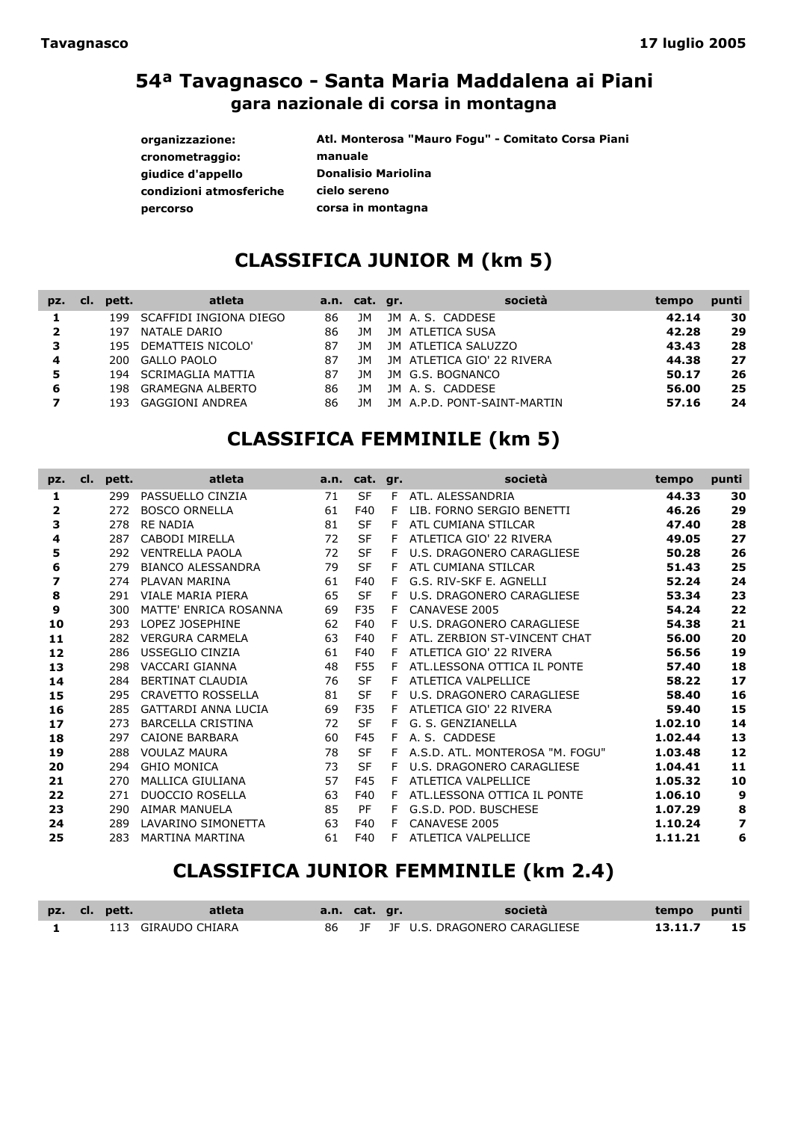| organizzazione:         | Atl. Monterosa "Mauro Fogu" - Comitato Corsa Piani |
|-------------------------|----------------------------------------------------|
| cronometraggio:         | manuale                                            |
| giudice d'appello       | <b>Donalisio Mariolina</b>                         |
| condizioni atmosferiche | cielo sereno                                       |
| percorso                | corsa in montagna                                  |

## CLASSIFICA JUNIOR M (km 5)

| pz.            | CI. | pett. | atleta                  |    | a.n. cat. gr. |      | società                    | tempo | punti |
|----------------|-----|-------|-------------------------|----|---------------|------|----------------------------|-------|-------|
|                |     | 199.  | SCAFFIDI INGIONA DIEGO  | 86 | JΜ            |      | JM A.S. CADDESE            | 42.14 | 30    |
| $\overline{2}$ |     | 197   | NATALE DARIO            | 86 | JΜ            |      | JM ATLETICA SUSA           | 42.28 | 29    |
| 3              |     |       | 195 DEMATTEIS NICOLO'   | 87 | JΜ            |      | JM ATLETICA SALUZZO        | 43.43 | 28    |
| 4              |     | 200 - | <b>GALLO PAOLO</b>      | 87 | JΜ            |      | JM ATLETICA GIO' 22 RIVERA | 44.38 | 27    |
| 5              |     | 194   | SCRIMAGLIA MATTIA       | 87 | JМ            |      | JM G.S. BOGNANCO           | 50.17 | 26    |
| 6              |     | 198.  | <b>GRAMEGNA ALBERTO</b> | 86 | JΜ            |      | JM A.S. CADDESE            | 56.00 | 25    |
|                |     | 193.  | <b>GAGGIONI ANDREA</b>  | 86 | 1M            | 1M I | A.P.D. PONT-SAINT-MARTIN   | 57.16 | 24    |

## CLASSIFICA FEMMINILE (km 5)

| pz. | pett.<br>cl. | atleta                     |    | a.n. cat. gr. |   | società                         | tempo   | punti                   |
|-----|--------------|----------------------------|----|---------------|---|---------------------------------|---------|-------------------------|
| 1   | 299          | PASSUELLO CINZIA           | 71 | <b>SF</b>     | F | ATL. ALESSANDRIA                | 44.33   | 30                      |
| 2   | 272          | <b>BOSCO ORNELLA</b>       | 61 | F40           | F | LIB. FORNO SERGIO BENETTI       | 46.26   | 29                      |
| 3   | 278          | <b>RE NADIA</b>            | 81 | <b>SF</b>     | F | ATL CUMIANA STILCAR             | 47.40   | 28                      |
| 4   | 287          | CABODI MIRELLA             | 72 | <b>SF</b>     | F | ATLETICA GIO' 22 RIVERA         | 49.05   | 27                      |
| 5   | 292          | <b>VENTRELLA PAOLA</b>     | 72 | <b>SF</b>     | F | U.S. DRAGONERO CARAGLIESE       | 50.28   | 26                      |
| 6   | 279          | <b>BIANCO ALESSANDRA</b>   | 79 | <b>SF</b>     | F | ATL CUMIANA STILCAR             | 51.43   | 25                      |
| 7   | 274          | PLAVAN MARINA              | 61 | F40           | F | G.S. RIV-SKF E. AGNELLI         | 52.24   | 24                      |
| 8   | 291          | VIALE MARIA PIERA          | 65 | <b>SF</b>     | F | U.S. DRAGONERO CARAGLIESE       | 53.34   | 23                      |
| 9   | 300          | MATTE' ENRICA ROSANNA      | 69 | F35           | F | CANAVESE 2005                   | 54.24   | 22                      |
| 10  | 293          | LOPEZ JOSEPHINE            | 62 | F40           |   | U.S. DRAGONERO CARAGLIESE       | 54.38   | 21                      |
| 11  | 282          | <b>VERGURA CARMELA</b>     | 63 | F40           | F | ATL. ZERBION ST-VINCENT CHAT    | 56.00   | 20                      |
| 12  | 286          | USSEGLIO CINZIA            | 61 | F40           | F | ATLETICA GIO' 22 RIVERA         | 56.56   | 19                      |
| 13  | 298          | VACCARI GIANNA             | 48 | F55           | F | ATL.LESSONA OTTICA IL PONTE     | 57.40   | 18                      |
| 14  | 284          | <b>BERTINAT CLAUDIA</b>    | 76 | <b>SF</b>     | F | ATLETICA VALPELLICE             | 58.22   | 17                      |
| 15  | 295          | <b>CRAVETTO ROSSELLA</b>   | 81 | <b>SF</b>     | F | U.S. DRAGONERO CARAGLIESE       | 58.40   | 16                      |
| 16  | 285          | <b>GATTARDI ANNA LUCIA</b> | 69 | F35           | F | ATLETICA GIO' 22 RIVERA         | 59.40   | 15                      |
| 17  | 273          | <b>BARCELLA CRISTINA</b>   | 72 | <b>SF</b>     | F | G. S. GENZIANELLA               | 1.02.10 | 14                      |
| 18  | 297          | CAIONE BARBARA             | 60 | F45           | F | A. S. CADDESE                   | 1.02.44 | 13                      |
| 19  | 288          | <b>VOULAZ MAURA</b>        | 78 | <b>SF</b>     | F | A.S.D. ATL. MONTEROSA "M. FOGU" | 1.03.48 | 12                      |
| 20  | 294          | <b>GHIO MONICA</b>         | 73 | <b>SF</b>     | F | U.S. DRAGONERO CARAGLIESE       | 1.04.41 | 11                      |
| 21  | 270          | <b>MALLICA GIULIANA</b>    | 57 | F45           | F | ATLETICA VALPELLICE             | 1.05.32 | 10                      |
| 22  | 271          | <b>DUOCCIO ROSELLA</b>     | 63 | F40           | F | ATL.LESSONA OTTICA IL PONTE     | 1.06.10 | 9                       |
| 23  | 290          | <b>AIMAR MANUELA</b>       | 85 | PF            | F | G.S.D. POD. BUSCHESE            | 1.07.29 | 8                       |
| 24  | 289          | LAVARINO SIMONETTA         | 63 | F40           | F | CANAVESE 2005                   | 1.10.24 | $\overline{\mathbf{z}}$ |
| 25  | 283          | MARTINA MARTINA            | 61 | F40           | F | ATLETICA VALPELLICE             | 1.11.21 | 6                       |

# CLASSIFICA JUNIOR FEMMINILE (km 2.4)

| pz. cl. pett. | atleta             | a.n. cat. gr. |  | società                            | tempo punti |      |
|---------------|--------------------|---------------|--|------------------------------------|-------------|------|
|               | 113 GIRAUDO CHIARA |               |  | 86 JF JF U.S. DRAGONERO CARAGLIESE | 13.11.7     | - 15 |